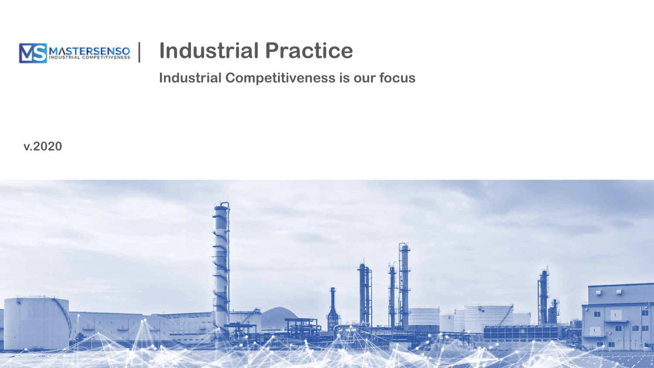

# | **Industrial Practice**

**Industrial Competitiveness is our focus**

**v.2020**

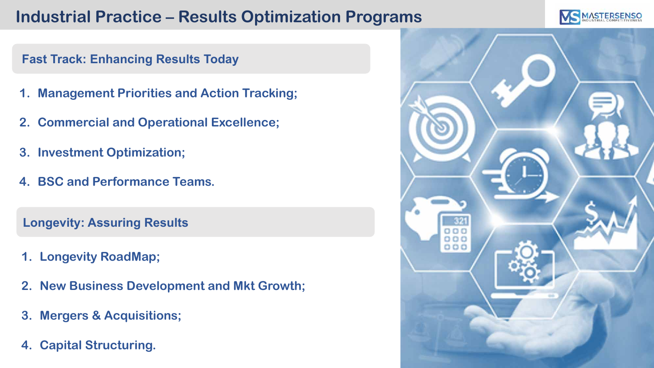## **Industrial Practice – Results Optimization Programs**



#### **Fast Track: Enhancing Results Today**

- **1. Management Priorities and Action Tracking;**
- **2. Commercial and Operational Excellence;**
- **3. Investment Optimization;**
- **4. BSC and Performance Teams.**

**Longevity: Assuring Results**

- **1. Longevity RoadMap;**
- **2. New Business Development and Mkt Growth;**
- **3. Mergers & Acquisitions;**
- **4. Capital Structuring.**

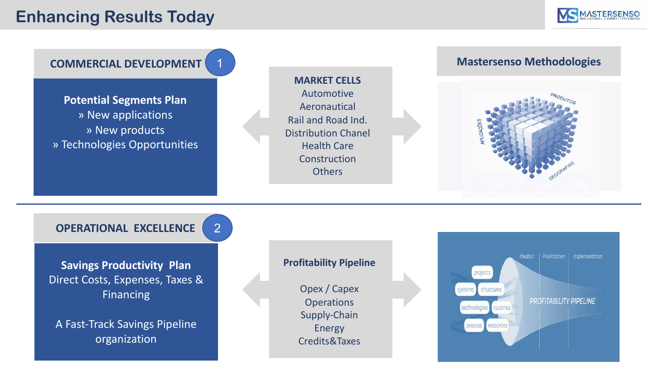#### **Enhancing Results Today**





A Fast-Track Savings Pipeline organization

Supply-Chain Energy Credits&Taxes

process resources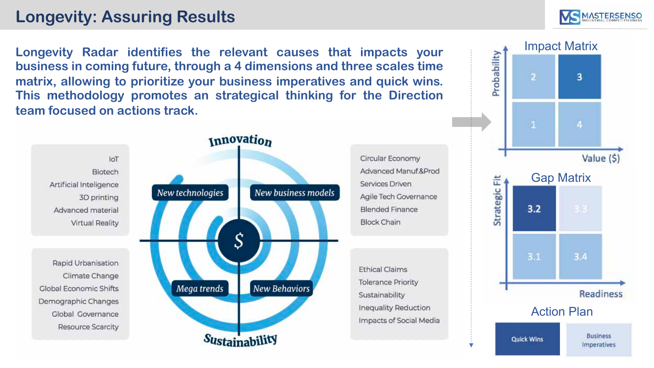### **Longevity: Assuring Results**

**Longevity Radar identifies the relevant causes that impacts your business in coming future, through a 4 dimensions and three scales time matrix, allowing to prioritize your business imperatives and quick wins. This methodology promotes an strategical thinking for the Direction team focused on actions track.**



Circular Economy Advanced Manuf.&Prod Services Driven Agile Tech Governance Blended Finance **Block Chain** 

**Ethical Claims Tolerance Priority** Sustainability Inequality Reduction Impacts of Social Media



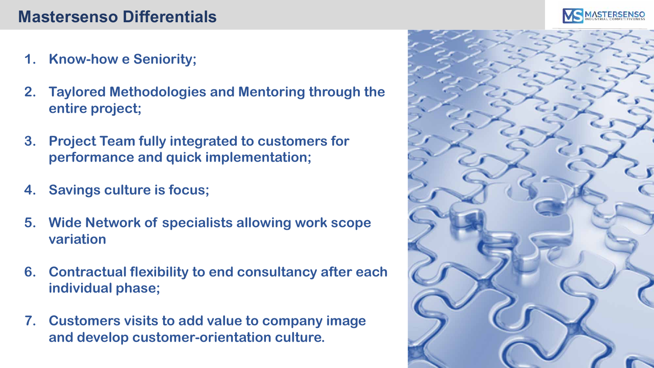### **Mastersenso Differentials**

- **1. Know-how e Seniority;**
- **2. Taylored Methodologies and Mentoring through the entire project;**
- **3. Project Team fully integrated to customers for performance and quick implementation;**
- **4. Savings culture is focus;**
- **5. Wide Network of specialists allowing work scope variation**
- **6. Contractual flexibility to end consultancy after each individual phase;**
- **7. Customers visits to add value to company image and develop customer-orientation culture.**